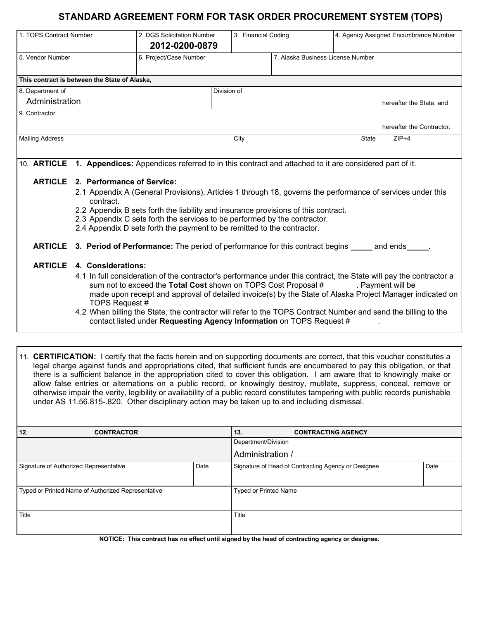# **STANDARD AGREEMENT FORM FOR TASK ORDER PROCUREMENT SYSTEM (TOPS)**

| 1. TOPS Contract Number |                                                                                                                         | 2. DGS Solicitation Number                                              | 3. Financial Coding      |                                   | 4. Agency Assigned Encumbrance Number                                                                                                                                                                                                                |  |  |
|-------------------------|-------------------------------------------------------------------------------------------------------------------------|-------------------------------------------------------------------------|--------------------------|-----------------------------------|------------------------------------------------------------------------------------------------------------------------------------------------------------------------------------------------------------------------------------------------------|--|--|
|                         |                                                                                                                         | 2012-0200-0879                                                          |                          |                                   |                                                                                                                                                                                                                                                      |  |  |
| 5. Vendor Number        |                                                                                                                         | 6. Project/Case Number                                                  |                          | 7. Alaska Business License Number |                                                                                                                                                                                                                                                      |  |  |
|                         | This contract is between the State of Alaska,                                                                           |                                                                         |                          |                                   |                                                                                                                                                                                                                                                      |  |  |
| 8. Department of        |                                                                                                                         |                                                                         | Division of              |                                   |                                                                                                                                                                                                                                                      |  |  |
| Administration          |                                                                                                                         |                                                                         | hereafter the State, and |                                   |                                                                                                                                                                                                                                                      |  |  |
| 9. Contractor           |                                                                                                                         |                                                                         |                          |                                   |                                                                                                                                                                                                                                                      |  |  |
|                         |                                                                                                                         |                                                                         |                          |                                   | hereafter the Contractor.                                                                                                                                                                                                                            |  |  |
| <b>Mailing Address</b>  |                                                                                                                         |                                                                         | City                     |                                   | $ZIP+4$<br><b>State</b>                                                                                                                                                                                                                              |  |  |
|                         |                                                                                                                         |                                                                         |                          |                                   |                                                                                                                                                                                                                                                      |  |  |
| 10. ARTICLE             |                                                                                                                         |                                                                         |                          |                                   | 1. Appendices: Appendices referred to in this contract and attached to it are considered part of it.                                                                                                                                                 |  |  |
|                         |                                                                                                                         |                                                                         |                          |                                   |                                                                                                                                                                                                                                                      |  |  |
| <b>ARTICLE</b>          | 2. Performance of Service:                                                                                              |                                                                         |                          |                                   |                                                                                                                                                                                                                                                      |  |  |
|                         | 2.1 Appendix A (General Provisions), Articles 1 through 18, governs the performance of services under this<br>contract. |                                                                         |                          |                                   |                                                                                                                                                                                                                                                      |  |  |
|                         | 2.2 Appendix B sets forth the liability and insurance provisions of this contract.                                      |                                                                         |                          |                                   |                                                                                                                                                                                                                                                      |  |  |
|                         | 2.3 Appendix C sets forth the services to be performed by the contractor.                                               |                                                                         |                          |                                   |                                                                                                                                                                                                                                                      |  |  |
|                         |                                                                                                                         | 2.4 Appendix D sets forth the payment to be remitted to the contractor. |                          |                                   |                                                                                                                                                                                                                                                      |  |  |
|                         |                                                                                                                         |                                                                         |                          |                                   | <b>ARTICLE</b> 3. Period of Performance: The period of performance for this contract begins and ends                                                                                                                                                 |  |  |
| <b>ARTICLE</b>          | 4. Considerations:                                                                                                      |                                                                         |                          |                                   |                                                                                                                                                                                                                                                      |  |  |
|                         | TOPS Request #                                                                                                          | sum not to exceed the Total Cost shown on TOPS Cost Proposal #          |                          |                                   | 4.1 In full consideration of the contractor's performance under this contract, the State will pay the contractor a<br>. Payment will be<br>made upon receipt and approval of detailed invoice(s) by the State of Alaska Project Manager indicated on |  |  |
|                         |                                                                                                                         | contact listed under Requesting Agency Information on TOPS Request #    |                          |                                   | 4.2 When billing the State, the contractor will refer to the TOPS Contract Number and send the billing to the                                                                                                                                        |  |  |

11. **CERTIFICATION:** I certify that the facts herein and on supporting documents are correct, that this voucher constitutes a legal charge against funds and appropriations cited, that sufficient funds are encumbered to pay this obligation, or that there is a sufficient balance in the appropriation cited to cover this obligation. I am aware that to knowingly make or allow false entries or alternations on a public record, or knowingly destroy, mutilate, suppress, conceal, remove or otherwise impair the verity, legibility or availability of a public record constitutes tampering with public records punishable under AS 11.56.815-.820. Other disciplinary action may be taken up to and including dismissal.

| <b>CONTRACTOR</b><br>12.                           |      | <b>CONTRACTING AGENCY</b><br>13.                    |      |  |
|----------------------------------------------------|------|-----------------------------------------------------|------|--|
|                                                    |      | Department/Division                                 |      |  |
|                                                    |      | Administration /                                    |      |  |
| Signature of Authorized Representative             | Date | Signature of Head of Contracting Agency or Designee | Date |  |
|                                                    |      |                                                     |      |  |
| Typed or Printed Name of Authorized Representative |      | <b>Typed or Printed Name</b>                        |      |  |
|                                                    |      |                                                     |      |  |
| Title                                              |      | Title                                               |      |  |
|                                                    |      |                                                     |      |  |

**NOTICE: This contract has no effect until signed by the head of contracting agency or designee.**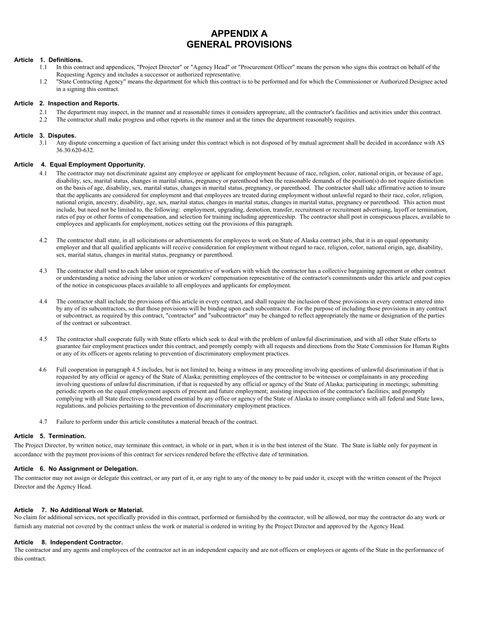## **APPENDIX A GENERAL PROVISIONS**

## **Article 1. Definitions.**

- 1.1 In this contract and appendices, "Project Director" or "Agency Head" or "Procurement Officer" means the person who signs this contract on behalf of the Requesting Agency and includes a successor or authorized representative.
- 1.2 "State Contracting Agency" means the department for which this contract is to be performed and for which the Commissioner or Authorized Designee acted in a signing this contract.

### **Article 2. Inspection and Reports.**

- 2.1 The department may inspect, in the manner and at reasonable times it considers appropriate, all the contractor's facilities and activities under this contract.<br>2.2 The contractor shall make progress and other reports i
- The contractor shall make progress and other reports in the manner and at the times the department reasonably requires.

## **Article 3. Disputes.**

 3.1 Any dispute concerning a question of fact arising under this contract which is not disposed of by mutual agreement shall be decided in accordance with AS 36.30.620-632.

#### **Article 4. Equal Employment Opportunity.**

- The contractor may not discriminate against any employee or applicant for employment because of race, religion, color, national origin, or because of age, disability, sex, marital status, changes in marital status, pregnancy or parenthood when the reasonable demands of the position(s) do not require distinction on the basis of age, disability, sex, marital status, changes in marital status, pregnancy, or parenthood. The contractor shall take affirmative action to insure that the applicants are considered for employment and that employees are treated during employment without unlawful regard to their race, color, religion, national origin, ancestry, disability, age, sex, marital status, changes in marital status, changes in marital status, pregnancy or parenthood. This action must include, but need not be limited to, the following: employment, upgrading, demotion, transfer, recruitment or recruitment advertising, layoff or termination, rates of pay or other forms of compensation, and selection for training including apprenticeship. The contractor shall post in conspicuous places, available to employees and applicants for employment, notices setting out the provisions of this paragraph.
- 4.2 The contractor shall state, in all solicitations or advertisements for employees to work on State of Alaska contract jobs, that it is an equal opportunity employer and that all qualified applicants will receive consideration for employment without regard to race, religion, color, national origin, age, disability, sex, marital status, changes in marital status, pregnancy or parenthood.
- 4.3 The contractor shall send to each labor union or representative of workers with which the contractor has a collective bargaining agreement or other contract or understanding a notice advising the labor union or workers' compensation representative of the contractor's commitments under this article and post copies of the notice in conspicuous places available to all employees and applicants for employment.
- 4.4 The contractor shall include the provisions of this article in every contract, and shall require the inclusion of these provisions in every contract entered into by any of its subcontractors, so that those provisions will be binding upon each subcontractor. For the purpose of including those provisions in any contract or subcontract, as required by this contract, "contractor" and "subcontractor" may be changed to reflect appropriately the name or designation of the parties of the contract or subcontract.
- 4.5 The contractor shall cooperate fully with State efforts which seek to deal with the problem of unlawful discrimination, and with all other State efforts to guarantee fair employment practices under this contract, and promptly comply with all requests and directions from the State Commission for Human Rights or any of its officers or agents relating to prevention of discriminatory employment practices.
- 4.6 Full cooperation in paragraph 4.5 includes, but is not limited to, being a witness in any proceeding involving questions of unlawful discrimination if that is requested by any official or agency of the State of Alaska; permitting employees of the contractor to be witnesses or complainants in any proceeding involving questions of unlawful discrimination, if that is requested by any official or agency of the State of Alaska; participating in meetings; submitting periodic reports on the equal employment aspects of present and future employment; assisting inspection of the contractor's facilities; and promptly complying with all State directives considered essential by any office or agency of the State of Alaska to insure compliance with all federal and State laws, regulations, and policies pertaining to the prevention of discriminatory employment practices.
- 4.7 Failure to perform under this article constitutes a material breach of the contract.

#### **Article 5. Termination.**

The Project Director, by written notice, may terminate this contract, in whole or in part, when it is in the best interest of the State. The State is liable only for payment in accordance with the payment provisions of this contract for services rendered before the effective date of termination.

#### **Article 6. No Assignment or Delegation.**

The contractor may not assign or delegate this contract, or any part of it, or any right to any of the money to be paid under it, except with the written consent of the Project Director and the Agency Head.

#### **Article 7. No Additional Work or Material.**

No claim for additional services, not specifically provided in this contract, performed or furnished by the contractor, will be allowed, nor may the contractor do any work or furnish any material not covered by the contract unless the work or material is ordered in writing by the Project Director and approved by the Agency Head.

### **Article 8. Independent Contractor.**

The contractor and any agents and employees of the contractor act in an independent capacity and are not officers or employees or agents of the State in the performance of this contract.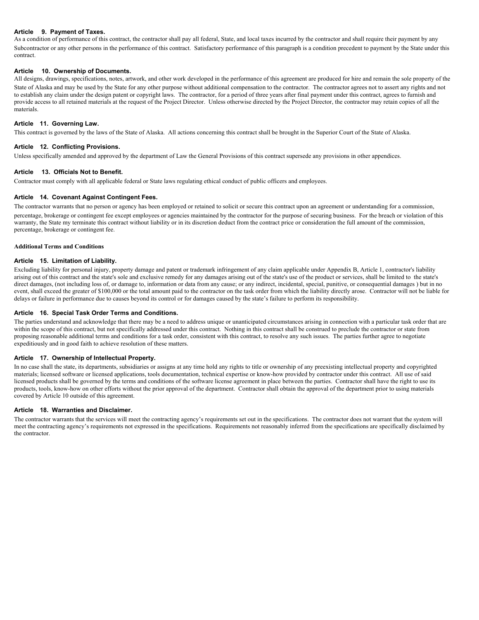## **Article 9. Payment of Taxes.**

As a condition of performance of this contract, the contractor shall pay all federal, State, and local taxes incurred by the contractor and shall require their payment by any Subcontractor or any other persons in the performance of this contract. Satisfactory performance of this paragraph is a condition precedent to payment by the State under this contract.

## **Article 10. Ownership of Documents.**

All designs, drawings, specifications, notes, artwork, and other work developed in the performance of this agreement are produced for hire and remain the sole property of the State of Alaska and may be used by the State for any other purpose without additional compensation to the contractor. The contractor agrees not to assert any rights and not to establish any claim under the design patent or copyright laws. The contractor, for a period of three years after final payment under this contract, agrees to furnish and provide access to all retained materials at the request of the Project Director. Unless otherwise directed by the Project Director, the contractor may retain copies of all the materials.

## **Article 11. Governing Law.**

This contract is governed by the laws of the State of Alaska. All actions concerning this contract shall be brought in the Superior Court of the State of Alaska.

### **Article 12. Conflicting Provisions.**

Unless specifically amended and approved by the department of Law the General Provisions of this contract supersede any provisions in other appendices.

## **Article 13. Officials Not to Benefit.**

Contractor must comply with all applicable federal or State laws regulating ethical conduct of public officers and employees.

## **Article 14. Covenant Against Contingent Fees.**

The contractor warrants that no person or agency has been employed or retained to solicit or secure this contract upon an agreement or understanding for a commission, percentage, brokerage or contingent fee except employees or agencies maintained by the contractor for the purpose of securing business. For the breach or violation of this warranty, the State my terminate this contract without liability or in its discretion deduct from the contract price or consideration the full amount of the commission, percentage, brokerage or contingent fee.

#### **Additional Terms and Conditions**

### **Article 15. Limitation of Liability.**

Excluding liability for personal injury, property damage and patent or trademark infringement of any claim applicable under Appendix B, Article 1, contractor's liability arising out of this contract and the state's sole and exclusive remedy for any damages arising out of the state's use of the product or services, shall be limited to the state's direct damages, (not including loss of, or damage to, information or data from any cause; or any indirect, incidental, special, punitive, or consequential damages ) but in no event, shall exceed the greater of \$100,000 or the total amount paid to the contractor on the task order from which the liability directly arose. Contractor will not be liable for delays or failure in performance due to causes beyond its control or for damages caused by the state's failure to perform its responsibility.

#### **Article 16. Special Task Order Terms and Conditions.**

The parties understand and acknowledge that there may be a need to address unique or unanticipated circumstances arising in connection with a particular task order that are within the scope of this contract, but not specifically addressed under this contract. Nothing in this contract shall be construed to preclude the contractor or state from proposing reasonable additional terms and conditions for a task order, consistent with this contract, to resolve any such issues. The parties further agree to negotiate expeditiously and in good faith to achieve resolution of these matters.

#### **Article 17. Ownership of Intellectual Property.**

In no case shall the state, its departments, subsidiaries or assigns at any time hold any rights to title or ownership of any preexisting intellectual property and copyrighted materials; licensed software or licensed applications, tools documentation, technical expertise or know-how provided by contractor under this contract. All use of said licensed products shall be governed by the terms and conditions of the software license agreement in place between the parties. Contractor shall have the right to use its products, tools, know-how on other efforts without the prior approval of the department. Contractor shall obtain the approval of the department prior to using materials covered by Article 10 outside of this agreement.

#### **Article 18. Warranties and Disclaimer.**

The contractor warrants that the services will meet the contracting agency's requirements set out in the specifications. The contractor does not warrant that the system will meet the contracting agency's requirements not expressed in the specifications. Requirements not reasonably inferred from the specifications are specifically disclaimed by the contractor.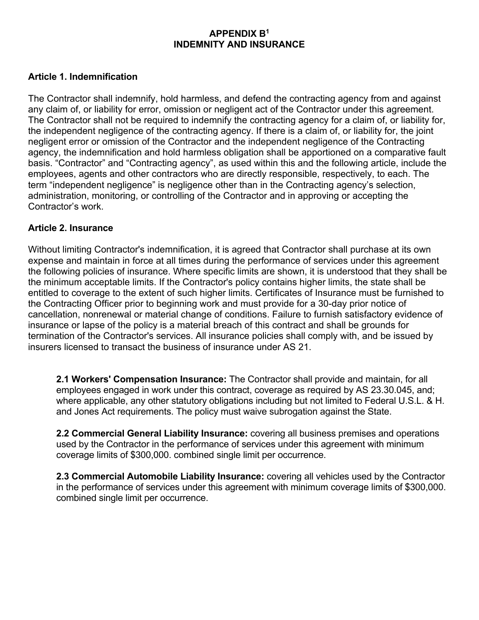## **APPENDIX B1 INDEMNITY AND INSURANCE**

## **Article 1. Indemnification**

The Contractor shall indemnify, hold harmless, and defend the contracting agency from and against any claim of, or liability for error, omission or negligent act of the Contractor under this agreement. The Contractor shall not be required to indemnify the contracting agency for a claim of, or liability for, the independent negligence of the contracting agency. If there is a claim of, or liability for, the joint negligent error or omission of the Contractor and the independent negligence of the Contracting agency, the indemnification and hold harmless obligation shall be apportioned on a comparative fault basis. "Contractor" and "Contracting agency", as used within this and the following article, include the employees, agents and other contractors who are directly responsible, respectively, to each. The term "independent negligence" is negligence other than in the Contracting agency's selection, administration, monitoring, or controlling of the Contractor and in approving or accepting the Contractor's work.

## **Article 2. Insurance**

Without limiting Contractor's indemnification, it is agreed that Contractor shall purchase at its own expense and maintain in force at all times during the performance of services under this agreement the following policies of insurance. Where specific limits are shown, it is understood that they shall be the minimum acceptable limits. If the Contractor's policy contains higher limits, the state shall be entitled to coverage to the extent of such higher limits. Certificates of Insurance must be furnished to the Contracting Officer prior to beginning work and must provide for a 30-day prior notice of cancellation, nonrenewal or material change of conditions. Failure to furnish satisfactory evidence of insurance or lapse of the policy is a material breach of this contract and shall be grounds for termination of the Contractor's services. All insurance policies shall comply with, and be issued by insurers licensed to transact the business of insurance under AS 21.

**2.1 Workers' Compensation Insurance:** The Contractor shall provide and maintain, for all employees engaged in work under this contract, coverage as required by AS 23.30.045, and; where applicable, any other statutory obligations including but not limited to Federal U.S.L. & H. and Jones Act requirements. The policy must waive subrogation against the State.

**2.2 Commercial General Liability Insurance:** covering all business premises and operations used by the Contractor in the performance of services under this agreement with minimum coverage limits of \$300,000. combined single limit per occurrence.

**2.3 Commercial Automobile Liability Insurance:** covering all vehicles used by the Contractor in the performance of services under this agreement with minimum coverage limits of \$300,000. combined single limit per occurrence.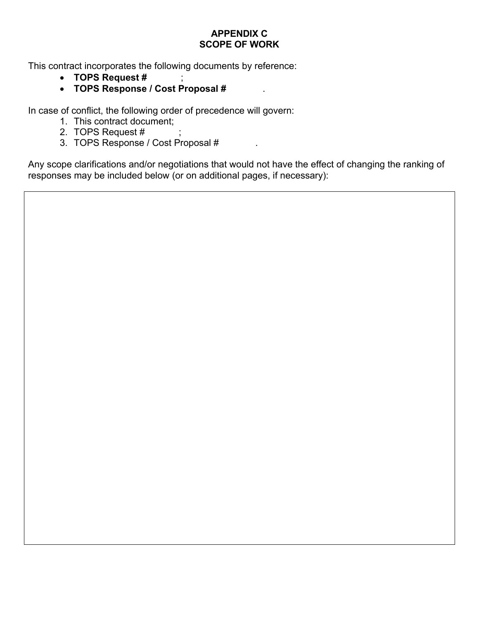# **APPENDIX C SCOPE OF WORK**

This contract incorporates the following documents by reference:

- **TOPS Request #** ;
- **TOPS Response / Cost Proposal #** .

In case of conflict, the following order of precedence will govern:

- 1. This contract document;
- 2. TOPS Request #
- 3. TOPS Response / Cost Proposal # .

Any scope clarifications and/or negotiations that would not have the effect of changing the ranking of responses may be included below (or on additional pages, if necessary):